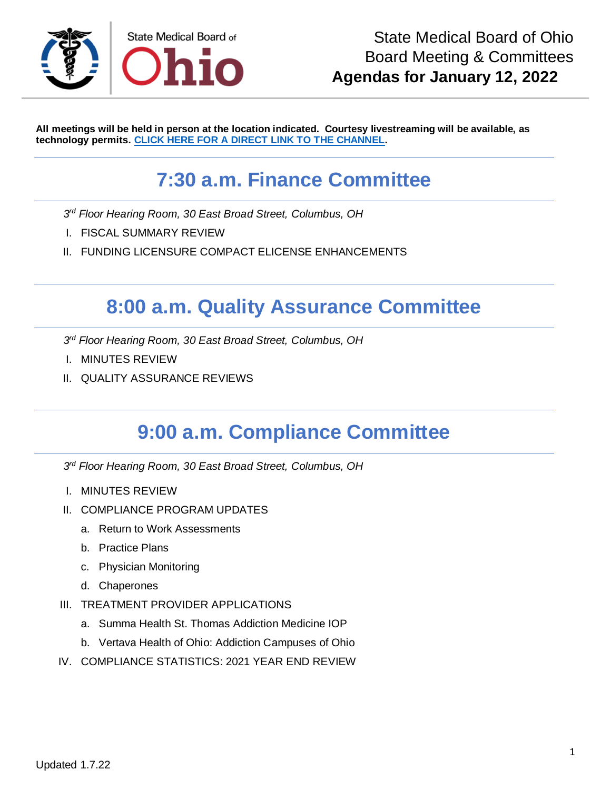

**All meetings will be held in person at the location indicated. Courtesy livestreaming will be available, as technology permits. [CLICK HERE FOR A DIRECT LINK TO THE CHANNEL.](https://www.youtube.com/channel/UCWBHBfwOyUtBZmBEZvtYPvA)**

# **7:30 a.m. Finance Committee**

- *3 rd Floor Hearing Room, 30 East Broad Street, Columbus, OH*
- I. FISCAL SUMMARY REVIEW
- II. FUNDING LICENSURE COMPACT ELICENSE ENHANCEMENTS

### **8:00 a.m. Quality Assurance Committee**

*3 rd Floor Hearing Room, 30 East Broad Street, Columbus, OH*

- I. MINUTES REVIEW
- II. QUALITY ASSURANCE REVIEWS

### **9:00 a.m. Compliance Committee**

*3 rd Floor Hearing Room, 30 East Broad Street, Columbus, OH*

- I. MINUTES REVIEW
- II. COMPLIANCE PROGRAM UPDATES
	- a. Return to Work Assessments
	- b. Practice Plans
	- c. Physician Monitoring
	- d. Chaperones
- III. TREATMENT PROVIDER APPLICATIONS
	- a. Summa Health St. Thomas Addiction Medicine IOP
	- b. Vertava Health of Ohio: Addiction Campuses of Ohio
- IV. COMPLIANCE STATISTICS: 2021 YEAR END REVIEW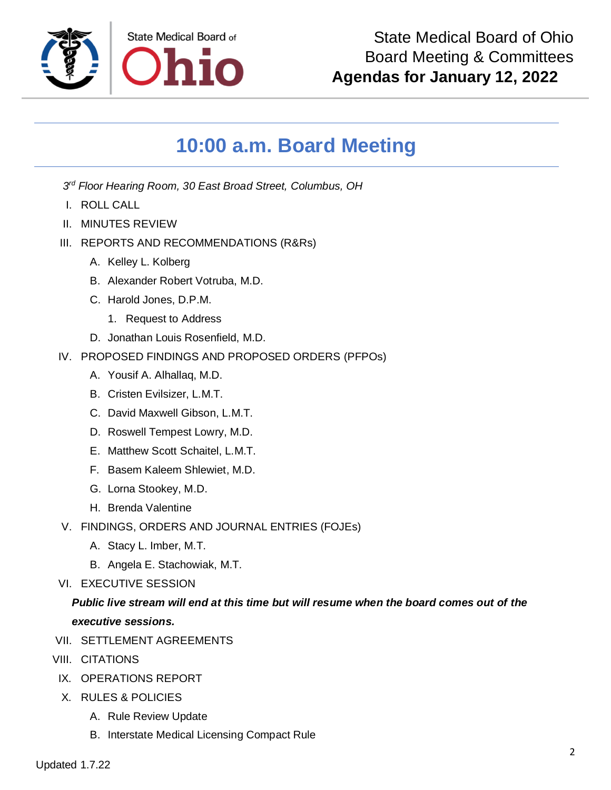

## **10:00 a.m. Board Meeting**

*3 rd Floor Hearing Room, 30 East Broad Street, Columbus, OH*

- I. ROLL CALL
- II. MINUTES REVIEW
- III. REPORTS AND RECOMMENDATIONS (R&Rs)
	- A. Kelley L. Kolberg
	- B. Alexander Robert Votruba, M.D.
	- C. Harold Jones, D.P.M.
		- 1. Request to Address
	- D. Jonathan Louis Rosenfield, M.D.
- IV. PROPOSED FINDINGS AND PROPOSED ORDERS (PFPOs)
	- A. Yousif A. Alhallaq, M.D.
	- B. Cristen Evilsizer, L.M.T.
	- C. David Maxwell Gibson, L.M.T.
	- D. Roswell Tempest Lowry, M.D.
	- E. Matthew Scott Schaitel, L.M.T.
	- F. Basem Kaleem Shlewiet, M.D.
	- G. Lorna Stookey, M.D.
	- H. Brenda Valentine
- V. FINDINGS, ORDERS AND JOURNAL ENTRIES (FOJEs)
	- A. Stacy L. Imber, M.T.
	- B. Angela E. Stachowiak, M.T.
- VI. EXECUTIVE SESSION

#### *Public live stream will end at this time but will resume when the board comes out of the executive sessions.*

- VII. SETTLEMENT AGREEMENTS
- VIII. CITATIONS
- IX. OPERATIONS REPORT
- X. RULES & POLICIES
	- A. Rule Review Update
	- B. Interstate Medical Licensing Compact Rule